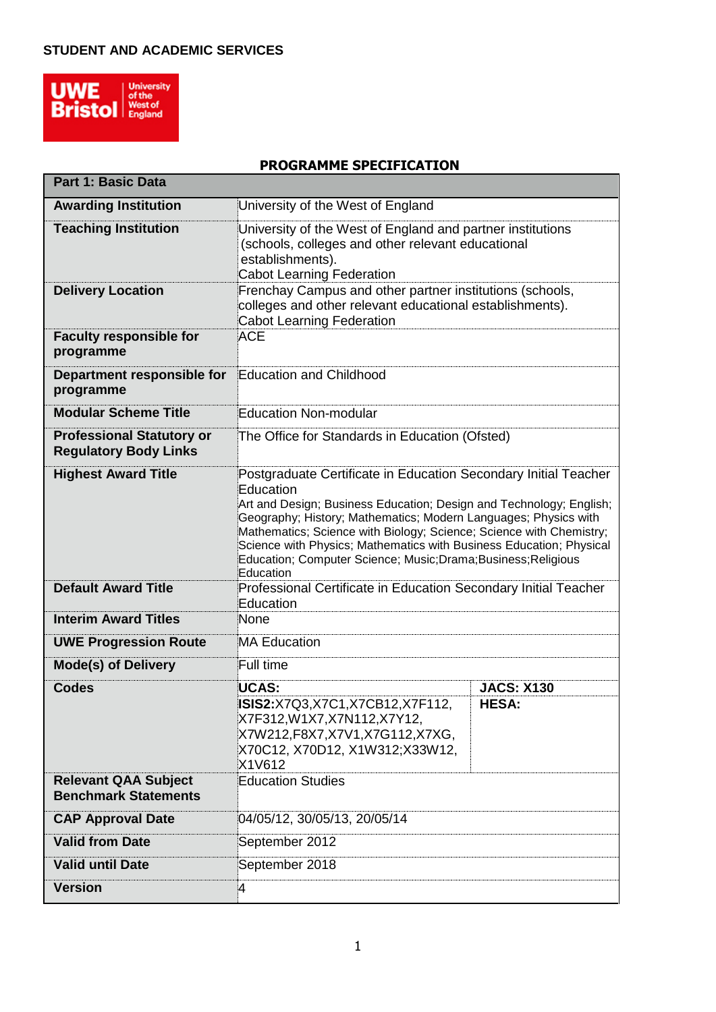

**Part 1: Basic Data**

## **PROGRAMME SPECIFICATION**

h

| Part I: Basic Data                                               |                                                                                                                                                                                                                                                                                                                                                                                                                                                  |                                                                                                                                                                             |  |  |  |
|------------------------------------------------------------------|--------------------------------------------------------------------------------------------------------------------------------------------------------------------------------------------------------------------------------------------------------------------------------------------------------------------------------------------------------------------------------------------------------------------------------------------------|-----------------------------------------------------------------------------------------------------------------------------------------------------------------------------|--|--|--|
| <b>Awarding Institution</b>                                      | University of the West of England                                                                                                                                                                                                                                                                                                                                                                                                                |                                                                                                                                                                             |  |  |  |
| <b>Teaching Institution</b>                                      | establishments).<br>Cabot Learning Federation                                                                                                                                                                                                                                                                                                                                                                                                    | University of the West of England and partner institutions<br>(schools, colleges and other relevant educational<br>Frenchay Campus and other partner institutions (schools, |  |  |  |
| <b>Delivery Location</b>                                         | colleges and other relevant educational establishments).<br><b>Cabot Learning Federation</b>                                                                                                                                                                                                                                                                                                                                                     |                                                                                                                                                                             |  |  |  |
| <b>Faculty responsible for</b><br>programme                      | <b>ACE</b>                                                                                                                                                                                                                                                                                                                                                                                                                                       |                                                                                                                                                                             |  |  |  |
| Department responsible for<br>programme                          | <b>Education and Childhood</b>                                                                                                                                                                                                                                                                                                                                                                                                                   |                                                                                                                                                                             |  |  |  |
| <b>Modular Scheme Title</b>                                      | <b>Education Non-modular</b>                                                                                                                                                                                                                                                                                                                                                                                                                     |                                                                                                                                                                             |  |  |  |
| <b>Professional Statutory or</b><br><b>Regulatory Body Links</b> | The Office for Standards in Education (Ofsted)                                                                                                                                                                                                                                                                                                                                                                                                   |                                                                                                                                                                             |  |  |  |
| <b>Highest Award Title</b>                                       | Postgraduate Certificate in Education Secondary Initial Teacher<br>Education<br>Art and Design; Business Education; Design and Technology; English;<br>Geography; History; Mathematics; Modern Languages; Physics with<br>Mathematics; Science with Biology; Science; Science with Chemistry;<br>Science with Physics; Mathematics with Business Education; Physical<br>Education; Computer Science; Music;Drama;Business;Religious<br>Education |                                                                                                                                                                             |  |  |  |
| <b>Default Award Title</b>                                       | Professional Certificate in Education Secondary Initial Teacher<br>Education                                                                                                                                                                                                                                                                                                                                                                     |                                                                                                                                                                             |  |  |  |
| <b>Interim Award Titles</b>                                      | None                                                                                                                                                                                                                                                                                                                                                                                                                                             |                                                                                                                                                                             |  |  |  |
| <b>UWE Progression Route</b>                                     | <b>MA Education</b>                                                                                                                                                                                                                                                                                                                                                                                                                              |                                                                                                                                                                             |  |  |  |
| <b>Mode(s) of Delivery</b>                                       | Full time                                                                                                                                                                                                                                                                                                                                                                                                                                        |                                                                                                                                                                             |  |  |  |
| <b>Codes</b>                                                     | UCAS:                                                                                                                                                                                                                                                                                                                                                                                                                                            | <b>JACS: X130</b>                                                                                                                                                           |  |  |  |
|                                                                  | ISIS2:X7Q3,X7C1,X7CB12,X7F112,<br>X7F312,W1X7,X7N112,X7Y12,<br>X7W212,F8X7,X7V1,X7G112,X7XG,<br>X70C12, X70D12, X1W312;X33W12,<br>X1V612                                                                                                                                                                                                                                                                                                         | <b>HESA:</b>                                                                                                                                                                |  |  |  |
| <b>Relevant QAA Subject</b><br><b>Benchmark Statements</b>       | <b>Education Studies</b>                                                                                                                                                                                                                                                                                                                                                                                                                         |                                                                                                                                                                             |  |  |  |
| <b>CAP Approval Date</b>                                         | 04/05/12, 30/05/13, 20/05/14                                                                                                                                                                                                                                                                                                                                                                                                                     |                                                                                                                                                                             |  |  |  |
| <b>Valid from Date</b>                                           | September 2012                                                                                                                                                                                                                                                                                                                                                                                                                                   |                                                                                                                                                                             |  |  |  |
| <b>Valid until Date</b>                                          | September 2018                                                                                                                                                                                                                                                                                                                                                                                                                                   |                                                                                                                                                                             |  |  |  |
| <b>Version</b>                                                   | 4                                                                                                                                                                                                                                                                                                                                                                                                                                                |                                                                                                                                                                             |  |  |  |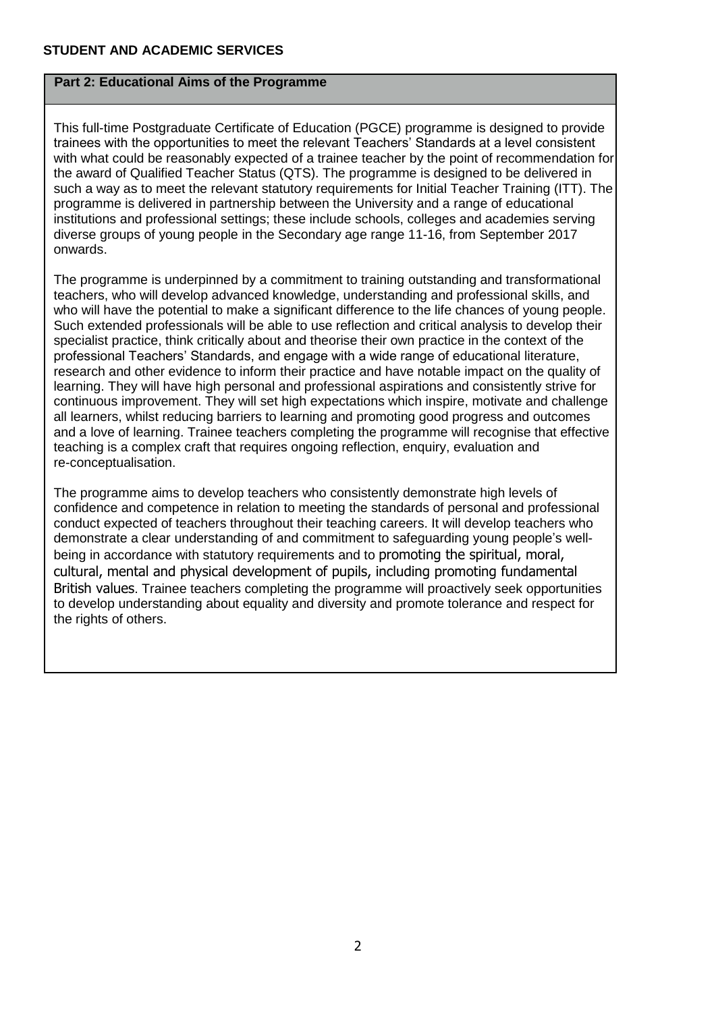## **Part 2: Educational Aims of the Programme**

This full-time Postgraduate Certificate of Education (PGCE) programme is designed to provide trainees with the opportunities to meet the relevant Teachers' Standards at a level consistent with what could be reasonably expected of a trainee teacher by the point of recommendation for the award of Qualified Teacher Status (QTS). The programme is designed to be delivered in such a way as to meet the relevant statutory requirements for Initial Teacher Training (ITT). The programme is delivered in partnership between the University and a range of educational institutions and professional settings; these include schools, colleges and academies serving diverse groups of young people in the Secondary age range 11-16, from September 2017 onwards.

The programme is underpinned by a commitment to training outstanding and transformational teachers, who will develop advanced knowledge, understanding and professional skills, and who will have the potential to make a significant difference to the life chances of young people. Such extended professionals will be able to use reflection and critical analysis to develop their specialist practice, think critically about and theorise their own practice in the context of the professional Teachers' Standards, and engage with a wide range of educational literature, research and other evidence to inform their practice and have notable impact on the quality of learning. They will have high personal and professional aspirations and consistently strive for continuous improvement. They will set high expectations which inspire, motivate and challenge all learners, whilst reducing barriers to learning and promoting good progress and outcomes and a love of learning. Trainee teachers completing the programme will recognise that effective teaching is a complex craft that requires ongoing reflection, enquiry, evaluation and re-conceptualisation.

The programme aims to develop teachers who consistently demonstrate high levels of confidence and competence in relation to meeting the standards of personal and professional conduct expected of teachers throughout their teaching careers. It will develop teachers who demonstrate a clear understanding of and commitment to safeguarding young people's wellbeing in accordance with statutory requirements and to promoting the spiritual, moral, cultural, mental and physical development of pupils, including promoting fundamental British values. Trainee teachers completing the programme will proactively seek opportunities to develop understanding about equality and diversity and promote tolerance and respect for the rights of others.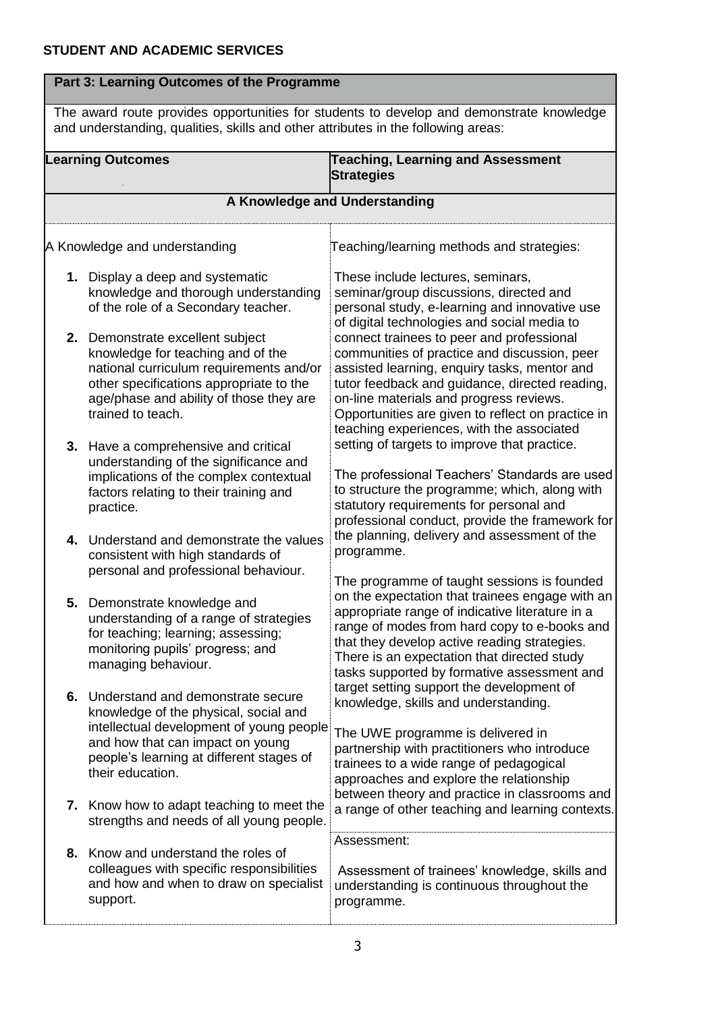| Part 3: Learning Outcomes of the Programme |                                                                                                                                                                                                                               |                                                                                                                                                                                                                                                                                                                                                                                                                                                                                                                                                                                                                                                                                                                                                                                                                                                                                                                                                                                                                                                                                                                                                                                                                                                                                                                                                                                                                                                                                                                                                                                                                                                                                                                                                                                                                                                                                                                                           |  |  |  |
|--------------------------------------------|-------------------------------------------------------------------------------------------------------------------------------------------------------------------------------------------------------------------------------|-------------------------------------------------------------------------------------------------------------------------------------------------------------------------------------------------------------------------------------------------------------------------------------------------------------------------------------------------------------------------------------------------------------------------------------------------------------------------------------------------------------------------------------------------------------------------------------------------------------------------------------------------------------------------------------------------------------------------------------------------------------------------------------------------------------------------------------------------------------------------------------------------------------------------------------------------------------------------------------------------------------------------------------------------------------------------------------------------------------------------------------------------------------------------------------------------------------------------------------------------------------------------------------------------------------------------------------------------------------------------------------------------------------------------------------------------------------------------------------------------------------------------------------------------------------------------------------------------------------------------------------------------------------------------------------------------------------------------------------------------------------------------------------------------------------------------------------------------------------------------------------------------------------------------------------------|--|--|--|
|                                            |                                                                                                                                                                                                                               |                                                                                                                                                                                                                                                                                                                                                                                                                                                                                                                                                                                                                                                                                                                                                                                                                                                                                                                                                                                                                                                                                                                                                                                                                                                                                                                                                                                                                                                                                                                                                                                                                                                                                                                                                                                                                                                                                                                                           |  |  |  |
|                                            | <b>Learning Outcomes</b>                                                                                                                                                                                                      | <b>Strategies</b>                                                                                                                                                                                                                                                                                                                                                                                                                                                                                                                                                                                                                                                                                                                                                                                                                                                                                                                                                                                                                                                                                                                                                                                                                                                                                                                                                                                                                                                                                                                                                                                                                                                                                                                                                                                                                                                                                                                         |  |  |  |
|                                            |                                                                                                                                                                                                                               | The award route provides opportunities for students to develop and demonstrate knowledge<br>and understanding, qualities, skills and other attributes in the following areas:<br><b>Teaching, Learning and Assessment</b><br>A Knowledge and Understanding<br>Teaching/learning methods and strategies:<br>These include lectures, seminars,<br>seminar/group discussions, directed and<br>personal study, e-learning and innovative use<br>of digital technologies and social media to<br>connect trainees to peer and professional<br>communities of practice and discussion, peer<br>assisted learning, enquiry tasks, mentor and<br>tutor feedback and guidance, directed reading,<br>on-line materials and progress reviews.<br>Opportunities are given to reflect on practice in<br>teaching experiences, with the associated<br>setting of targets to improve that practice.<br>The professional Teachers' Standards are used<br>to structure the programme; which, along with<br>statutory requirements for personal and<br>professional conduct, provide the framework for<br>the planning, delivery and assessment of the<br>programme.<br>The programme of taught sessions is founded<br>on the expectation that trainees engage with an<br>appropriate range of indicative literature in a<br>range of modes from hard copy to e-books and<br>that they develop active reading strategies.<br>There is an expectation that directed study<br>tasks supported by formative assessment and<br>target setting support the development of<br>knowledge, skills and understanding.<br>The UWE programme is delivered in<br>partnership with practitioners who introduce<br>trainees to a wide range of pedagogical<br>approaches and explore the relationship<br>between theory and practice in classrooms and<br>a range of other teaching and learning contexts.<br>Assessment:<br>Assessment of trainees' knowledge, skills and |  |  |  |
|                                            | A Knowledge and understanding                                                                                                                                                                                                 |                                                                                                                                                                                                                                                                                                                                                                                                                                                                                                                                                                                                                                                                                                                                                                                                                                                                                                                                                                                                                                                                                                                                                                                                                                                                                                                                                                                                                                                                                                                                                                                                                                                                                                                                                                                                                                                                                                                                           |  |  |  |
|                                            | 1. Display a deep and systematic<br>knowledge and thorough understanding<br>of the role of a Secondary teacher.                                                                                                               |                                                                                                                                                                                                                                                                                                                                                                                                                                                                                                                                                                                                                                                                                                                                                                                                                                                                                                                                                                                                                                                                                                                                                                                                                                                                                                                                                                                                                                                                                                                                                                                                                                                                                                                                                                                                                                                                                                                                           |  |  |  |
|                                            | 2. Demonstrate excellent subject<br>knowledge for teaching and of the<br>national curriculum requirements and/or<br>other specifications appropriate to the<br>age/phase and ability of those they are<br>trained to teach.   |                                                                                                                                                                                                                                                                                                                                                                                                                                                                                                                                                                                                                                                                                                                                                                                                                                                                                                                                                                                                                                                                                                                                                                                                                                                                                                                                                                                                                                                                                                                                                                                                                                                                                                                                                                                                                                                                                                                                           |  |  |  |
|                                            | 3. Have a comprehensive and critical<br>understanding of the significance and<br>implications of the complex contextual<br>factors relating to their training and<br>practice.                                                |                                                                                                                                                                                                                                                                                                                                                                                                                                                                                                                                                                                                                                                                                                                                                                                                                                                                                                                                                                                                                                                                                                                                                                                                                                                                                                                                                                                                                                                                                                                                                                                                                                                                                                                                                                                                                                                                                                                                           |  |  |  |
|                                            | 4. Understand and demonstrate the values<br>consistent with high standards of<br>personal and professional behaviour.                                                                                                         |                                                                                                                                                                                                                                                                                                                                                                                                                                                                                                                                                                                                                                                                                                                                                                                                                                                                                                                                                                                                                                                                                                                                                                                                                                                                                                                                                                                                                                                                                                                                                                                                                                                                                                                                                                                                                                                                                                                                           |  |  |  |
| 5.                                         | Demonstrate knowledge and<br>understanding of a range of strategies<br>for teaching; learning; assessing;<br>monitoring pupils' progress; and<br>managing behaviour.                                                          |                                                                                                                                                                                                                                                                                                                                                                                                                                                                                                                                                                                                                                                                                                                                                                                                                                                                                                                                                                                                                                                                                                                                                                                                                                                                                                                                                                                                                                                                                                                                                                                                                                                                                                                                                                                                                                                                                                                                           |  |  |  |
|                                            | 6. Understand and demonstrate secure<br>knowledge of the physical, social and<br>intellectual development of young people<br>and how that can impact on young<br>people's learning at different stages of<br>their education. |                                                                                                                                                                                                                                                                                                                                                                                                                                                                                                                                                                                                                                                                                                                                                                                                                                                                                                                                                                                                                                                                                                                                                                                                                                                                                                                                                                                                                                                                                                                                                                                                                                                                                                                                                                                                                                                                                                                                           |  |  |  |
|                                            | 7. Know how to adapt teaching to meet the<br>strengths and needs of all young people.                                                                                                                                         |                                                                                                                                                                                                                                                                                                                                                                                                                                                                                                                                                                                                                                                                                                                                                                                                                                                                                                                                                                                                                                                                                                                                                                                                                                                                                                                                                                                                                                                                                                                                                                                                                                                                                                                                                                                                                                                                                                                                           |  |  |  |
|                                            | 8. Know and understand the roles of<br>colleagues with specific responsibilities<br>and how and when to draw on specialist<br>support.                                                                                        | understanding is continuous throughout the<br>programme.                                                                                                                                                                                                                                                                                                                                                                                                                                                                                                                                                                                                                                                                                                                                                                                                                                                                                                                                                                                                                                                                                                                                                                                                                                                                                                                                                                                                                                                                                                                                                                                                                                                                                                                                                                                                                                                                                  |  |  |  |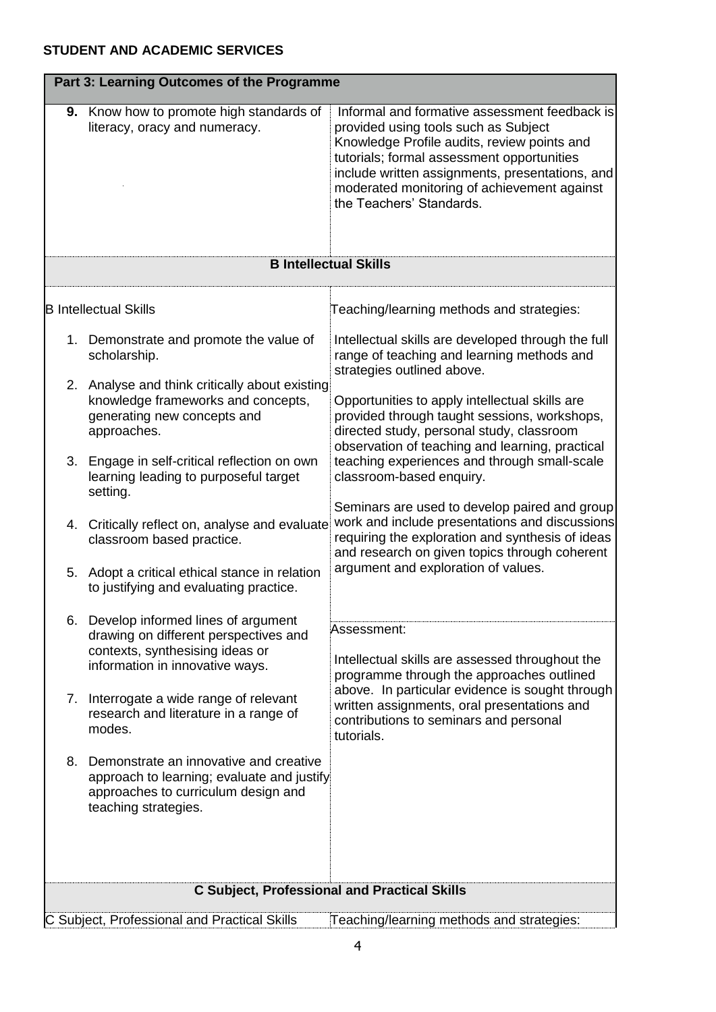|    | Part 3: Learning Outcomes of the Programme                                                                                                          |                                                                                                                                                                                                                                                                                                                  |  |  |  |  |
|----|-----------------------------------------------------------------------------------------------------------------------------------------------------|------------------------------------------------------------------------------------------------------------------------------------------------------------------------------------------------------------------------------------------------------------------------------------------------------------------|--|--|--|--|
|    | <b>9.</b> Know how to promote high standards of<br>literacy, oracy and numeracy.                                                                    | Informal and formative assessment feedback is<br>provided using tools such as Subject<br>Knowledge Profile audits, review points and<br>tutorials; formal assessment opportunities<br>include written assignments, presentations, and<br>moderated monitoring of achievement against<br>the Teachers' Standards. |  |  |  |  |
|    | <b>B Intellectual Skills</b>                                                                                                                        |                                                                                                                                                                                                                                                                                                                  |  |  |  |  |
|    |                                                                                                                                                     |                                                                                                                                                                                                                                                                                                                  |  |  |  |  |
|    | <b>B</b> Intellectual Skills                                                                                                                        | Teaching/learning methods and strategies:                                                                                                                                                                                                                                                                        |  |  |  |  |
|    | 1. Demonstrate and promote the value of<br>scholarship.                                                                                             | Intellectual skills are developed through the full<br>range of teaching and learning methods and<br>strategies outlined above.                                                                                                                                                                                   |  |  |  |  |
|    | 2. Analyse and think critically about existing<br>knowledge frameworks and concepts,<br>generating new concepts and<br>approaches.                  | Opportunities to apply intellectual skills are<br>provided through taught sessions, workshops,<br>directed study, personal study, classroom<br>observation of teaching and learning, practical                                                                                                                   |  |  |  |  |
|    | 3. Engage in self-critical reflection on own<br>learning leading to purposeful target<br>setting.                                                   | teaching experiences and through small-scale<br>classroom-based enquiry.                                                                                                                                                                                                                                         |  |  |  |  |
|    | 4. Critically reflect on, analyse and evaluate<br>classroom based practice.                                                                         | Seminars are used to develop paired and group<br>work and include presentations and discussions<br>requiring the exploration and synthesis of ideas<br>and research on given topics through coherent                                                                                                             |  |  |  |  |
| 5. | Adopt a critical ethical stance in relation<br>to justifying and evaluating practice.                                                               | argument and exploration of values.                                                                                                                                                                                                                                                                              |  |  |  |  |
|    | 6. Develop informed lines of argument<br>drawing on different perspectives and                                                                      | Assessment:                                                                                                                                                                                                                                                                                                      |  |  |  |  |
|    | contexts, synthesising ideas or<br>information in innovative ways.                                                                                  | Intellectual skills are assessed throughout the<br>programme through the approaches outlined                                                                                                                                                                                                                     |  |  |  |  |
| 7. | Interrogate a wide range of relevant<br>research and literature in a range of<br>modes.                                                             | above. In particular evidence is sought through<br>written assignments, oral presentations and<br>contributions to seminars and personal<br>tutorials.                                                                                                                                                           |  |  |  |  |
| 8. | Demonstrate an innovative and creative<br>approach to learning; evaluate and justify<br>approaches to curriculum design and<br>teaching strategies. |                                                                                                                                                                                                                                                                                                                  |  |  |  |  |
|    | <b>C Subject, Professional and Practical Skills</b>                                                                                                 |                                                                                                                                                                                                                                                                                                                  |  |  |  |  |
|    | C Subject, Professional and Practical Skills                                                                                                        | Teaching/learning methods and strategies:                                                                                                                                                                                                                                                                        |  |  |  |  |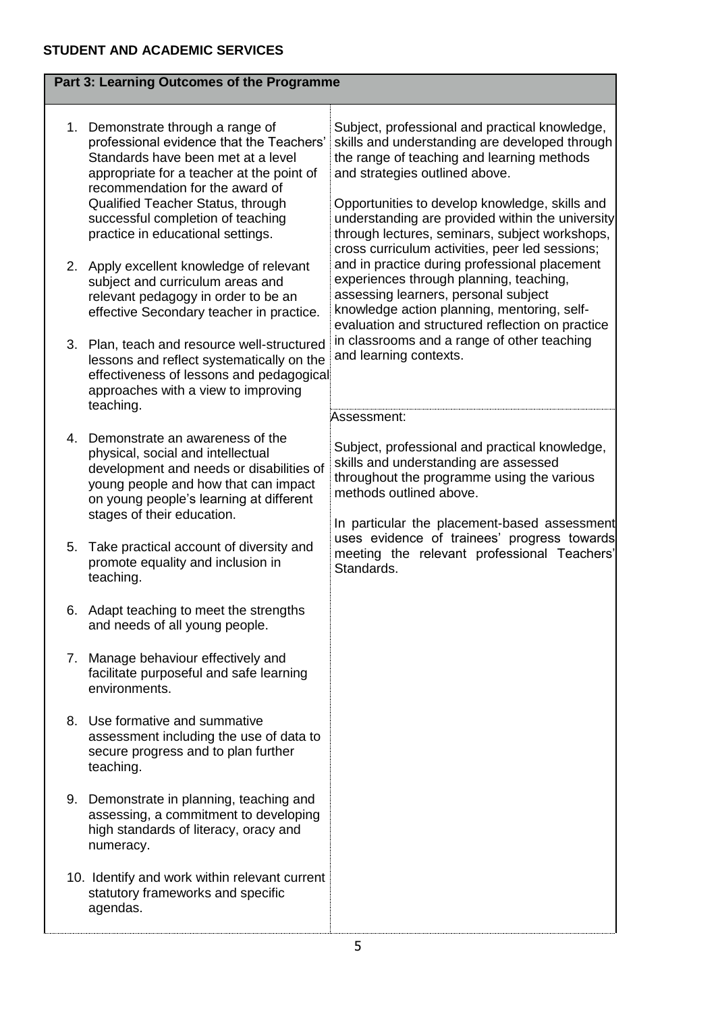|    | Part 3: Learning Outcomes of the Programme                                                                                                                                                                                                                                                                      |                                                                                                                                                                                                                                                                                                                                          |
|----|-----------------------------------------------------------------------------------------------------------------------------------------------------------------------------------------------------------------------------------------------------------------------------------------------------------------|------------------------------------------------------------------------------------------------------------------------------------------------------------------------------------------------------------------------------------------------------------------------------------------------------------------------------------------|
| 1. | Demonstrate through a range of<br>professional evidence that the Teachers'<br>Standards have been met at a level<br>appropriate for a teacher at the point of<br>recommendation for the award of<br>Qualified Teacher Status, through<br>successful completion of teaching<br>practice in educational settings. | Subject, professional and practical knowledge,<br>skills and understanding are developed through<br>the range of teaching and learning methods<br>and strategies outlined above.<br>Opportunities to develop knowledge, skills and<br>understanding are provided within the university<br>through lectures, seminars, subject workshops, |
|    | 2. Apply excellent knowledge of relevant<br>subject and curriculum areas and<br>relevant pedagogy in order to be an<br>effective Secondary teacher in practice.                                                                                                                                                 | cross curriculum activities, peer led sessions;<br>and in practice during professional placement<br>experiences through planning, teaching,<br>assessing learners, personal subject<br>knowledge action planning, mentoring, self-<br>evaluation and structured reflection on practice                                                   |
| 3. | Plan, teach and resource well-structured<br>lessons and reflect systematically on the<br>effectiveness of lessons and pedagogical<br>approaches with a view to improving<br>teaching.                                                                                                                           | in classrooms and a range of other teaching<br>and learning contexts.<br>Assessment:                                                                                                                                                                                                                                                     |
| 4. | Demonstrate an awareness of the<br>physical, social and intellectual<br>development and needs or disabilities of<br>young people and how that can impact<br>on young people's learning at different<br>stages of their education.                                                                               | Subject, professional and practical knowledge,<br>skills and understanding are assessed<br>throughout the programme using the various<br>methods outlined above.<br>In particular the placement-based assessment                                                                                                                         |
| 5. | Take practical account of diversity and<br>promote equality and inclusion in<br>teaching.                                                                                                                                                                                                                       | uses evidence of trainees' progress towards<br>meeting the relevant professional Teachers'<br>Standards.                                                                                                                                                                                                                                 |
|    | 6. Adapt teaching to meet the strengths<br>and needs of all young people.                                                                                                                                                                                                                                       |                                                                                                                                                                                                                                                                                                                                          |
| 7. | Manage behaviour effectively and<br>facilitate purposeful and safe learning<br>environments.                                                                                                                                                                                                                    |                                                                                                                                                                                                                                                                                                                                          |
|    | 8. Use formative and summative<br>assessment including the use of data to<br>secure progress and to plan further<br>teaching.                                                                                                                                                                                   |                                                                                                                                                                                                                                                                                                                                          |
| 9. | Demonstrate in planning, teaching and<br>assessing, a commitment to developing<br>high standards of literacy, oracy and<br>numeracy.                                                                                                                                                                            |                                                                                                                                                                                                                                                                                                                                          |
|    | 10. Identify and work within relevant current<br>statutory frameworks and specific<br>agendas.                                                                                                                                                                                                                  |                                                                                                                                                                                                                                                                                                                                          |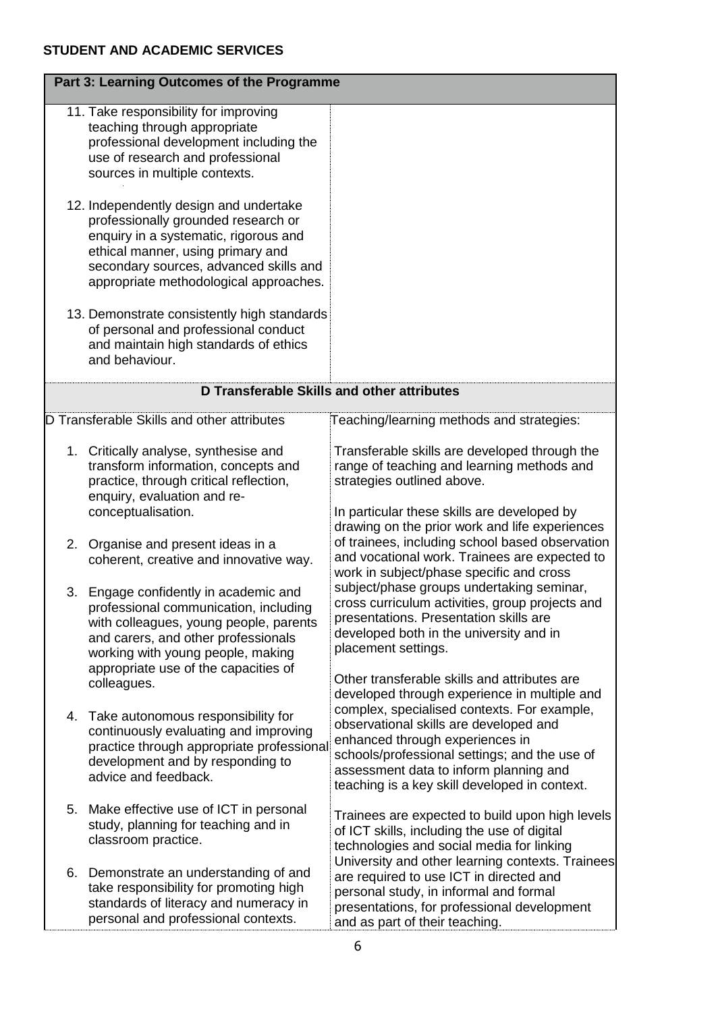|    | Part 3: Learning Outcomes of the Programme                                                                                                                                                                                                      |                                                                                                                                                                                                                                               |
|----|-------------------------------------------------------------------------------------------------------------------------------------------------------------------------------------------------------------------------------------------------|-----------------------------------------------------------------------------------------------------------------------------------------------------------------------------------------------------------------------------------------------|
|    | 11. Take responsibility for improving<br>teaching through appropriate<br>professional development including the<br>use of research and professional<br>sources in multiple contexts.                                                            |                                                                                                                                                                                                                                               |
|    | 12. Independently design and undertake<br>professionally grounded research or<br>enquiry in a systematic, rigorous and<br>ethical manner, using primary and<br>secondary sources, advanced skills and<br>appropriate methodological approaches. |                                                                                                                                                                                                                                               |
|    | 13. Demonstrate consistently high standards<br>of personal and professional conduct<br>and maintain high standards of ethics<br>and behaviour.                                                                                                  |                                                                                                                                                                                                                                               |
|    | D Transferable Skills and other attributes                                                                                                                                                                                                      |                                                                                                                                                                                                                                               |
|    | D Transferable Skills and other attributes                                                                                                                                                                                                      | Teaching/learning methods and strategies:                                                                                                                                                                                                     |
|    | 1. Critically analyse, synthesise and<br>transform information, concepts and<br>practice, through critical reflection,<br>enquiry, evaluation and re-                                                                                           | Transferable skills are developed through the<br>range of teaching and learning methods and<br>strategies outlined above.                                                                                                                     |
|    | conceptualisation.<br>2. Organise and present ideas in a<br>coherent, creative and innovative way.                                                                                                                                              | In particular these skills are developed by<br>drawing on the prior work and life experiences<br>of trainees, including school based observation<br>and vocational work. Trainees are expected to<br>work in subject/phase specific and cross |
| 3. | Engage confidently in academic and<br>professional communication, including<br>with colleagues, young people, parents<br>and carers, and other professionals<br>working with young people, making                                               | subject/phase groups undertaking seminar,<br>cross curriculum activities, group projects and<br>presentations. Presentation skills are<br>developed both in the university and in<br>placement settings.                                      |
|    | appropriate use of the capacities of<br>colleagues.                                                                                                                                                                                             | Other transferable skills and attributes are<br>developed through experience in multiple and<br>complex, specialised contexts. For example,                                                                                                   |
|    | 4. Take autonomous responsibility for<br>continuously evaluating and improving<br>practice through appropriate professional<br>development and by responding to<br>advice and feedback.                                                         | observational skills are developed and<br>enhanced through experiences in<br>schools/professional settings; and the use of<br>assessment data to inform planning and<br>teaching is a key skill developed in context.                         |
| 5. | Make effective use of ICT in personal<br>study, planning for teaching and in<br>classroom practice.                                                                                                                                             | Trainees are expected to build upon high levels<br>of ICT skills, including the use of digital<br>technologies and social media for linking<br>University and other learning contexts. Trainees                                               |
|    | 6. Demonstrate an understanding of and<br>take responsibility for promoting high<br>standards of literacy and numeracy in<br>personal and professional contexts.                                                                                | are required to use ICT in directed and<br>personal study, in informal and formal<br>presentations, for professional development<br>and as part of their teaching.                                                                            |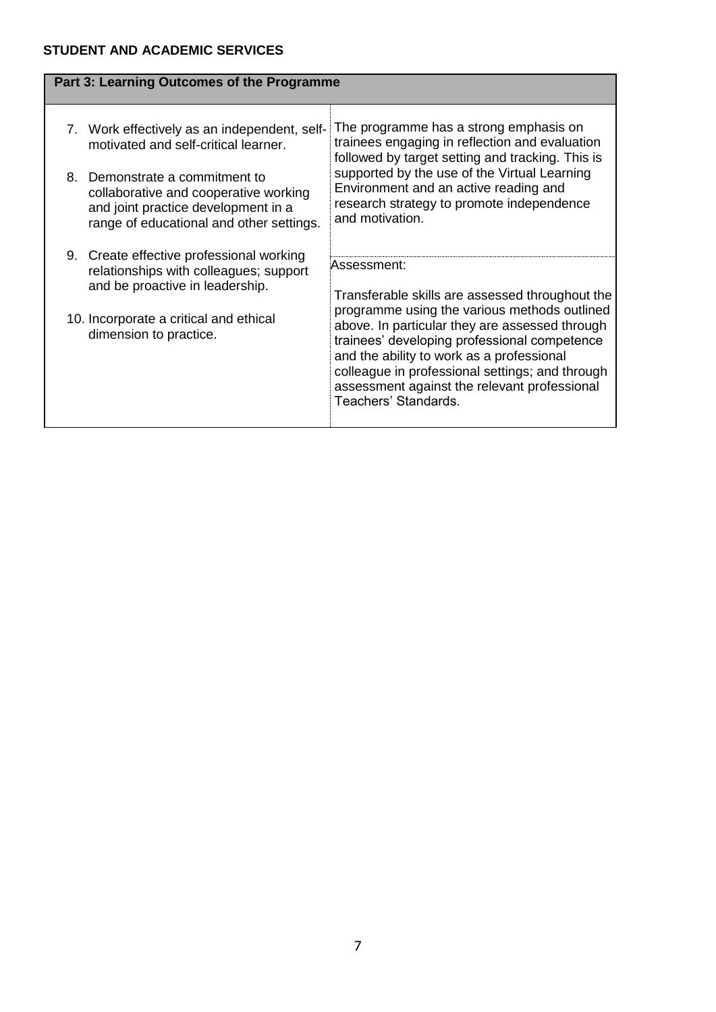L

|    | Part 3: Learning Outcomes of the Programme                                                                                                              |                                                                                                                                                                                                                                                                                                                        |
|----|---------------------------------------------------------------------------------------------------------------------------------------------------------|------------------------------------------------------------------------------------------------------------------------------------------------------------------------------------------------------------------------------------------------------------------------------------------------------------------------|
|    | 7. Work effectively as an independent, self-<br>motivated and self-critical learner.                                                                    | The programme has a strong emphasis on<br>trainees engaging in reflection and evaluation<br>followed by target setting and tracking. This is                                                                                                                                                                           |
| 8. | Demonstrate a commitment to<br>collaborative and cooperative working<br>and joint practice development in a<br>range of educational and other settings. | supported by the use of the Virtual Learning<br>Environment and an active reading and<br>research strategy to promote independence<br>and motivation.                                                                                                                                                                  |
|    | 9. Create effective professional working<br>relationships with colleagues; support                                                                      | Assessment:                                                                                                                                                                                                                                                                                                            |
|    | and be proactive in leadership.                                                                                                                         | Transferable skills are assessed throughout the                                                                                                                                                                                                                                                                        |
|    | 10. Incorporate a critical and ethical<br>dimension to practice.                                                                                        | programme using the various methods outlined<br>above. In particular they are assessed through<br>trainees' developing professional competence<br>and the ability to work as a professional<br>colleague in professional settings; and through<br>assessment against the relevant professional<br>Teachers' Standards. |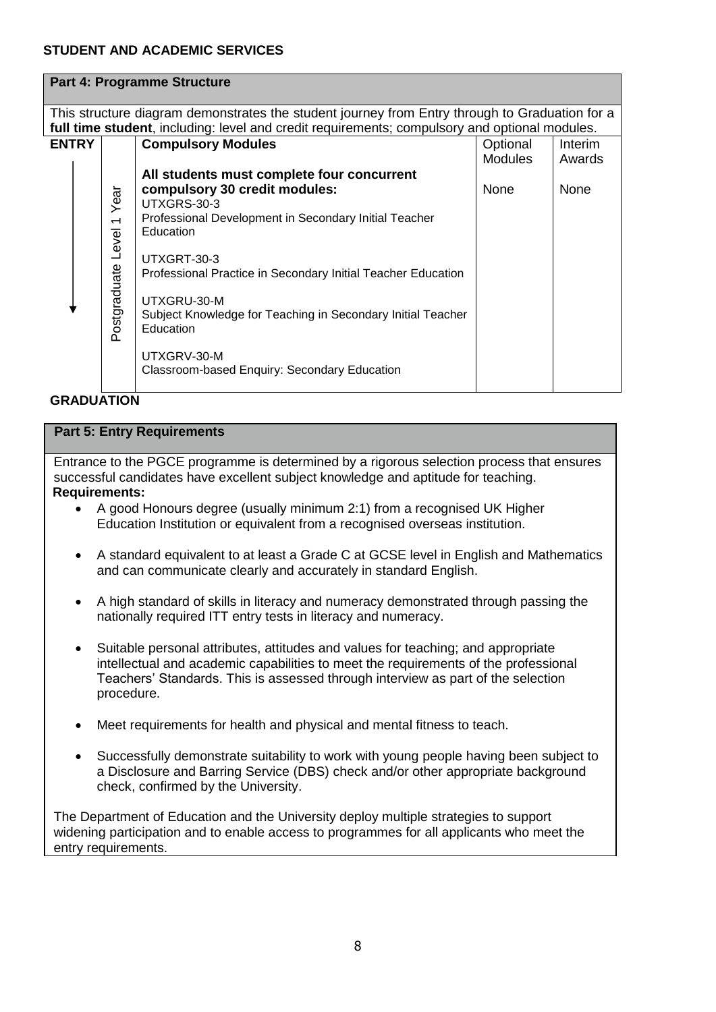|              |                                                                                                                                                                                                 | <b>Part 4: Programme Structure</b>                                       |                |         |  |  |
|--------------|-------------------------------------------------------------------------------------------------------------------------------------------------------------------------------------------------|--------------------------------------------------------------------------|----------------|---------|--|--|
|              | This structure diagram demonstrates the student journey from Entry through to Graduation for a<br>full time student, including: level and credit requirements; compulsory and optional modules. |                                                                          |                |         |  |  |
| <b>ENTRY</b> | <b>Compulsory Modules</b>                                                                                                                                                                       |                                                                          |                | Interim |  |  |
|              |                                                                                                                                                                                                 |                                                                          | <b>Modules</b> | Awards  |  |  |
|              |                                                                                                                                                                                                 | All students must complete four concurrent                               |                |         |  |  |
|              | Year                                                                                                                                                                                            | compulsory 30 credit modules:                                            | None           | None    |  |  |
|              |                                                                                                                                                                                                 | UTXGRS-30-3                                                              |                |         |  |  |
|              |                                                                                                                                                                                                 | Professional Development in Secondary Initial Teacher<br>Education       |                |         |  |  |
|              | UTXGRT-30-3                                                                                                                                                                                     |                                                                          |                |         |  |  |
|              |                                                                                                                                                                                                 | Professional Practice in Secondary Initial Teacher Education             |                |         |  |  |
|              |                                                                                                                                                                                                 | UTXGRU-30-M                                                              |                |         |  |  |
|              | Postgraduate Level 1                                                                                                                                                                            | Subject Knowledge for Teaching in Secondary Initial Teacher<br>Education |                |         |  |  |
|              |                                                                                                                                                                                                 | UTXGRV-30-M<br>Classroom-based Enquiry: Secondary Education              |                |         |  |  |
|              |                                                                                                                                                                                                 |                                                                          |                |         |  |  |

## **GRADUATION**

## **Part 5: Entry Requirements**

Entrance to the PGCE programme is determined by a rigorous selection process that ensures successful candidates have excellent subject knowledge and aptitude for teaching. **Requirements:** 

- A good Honours degree (usually minimum 2:1) from a recognised UK Higher Education Institution or equivalent from a recognised overseas institution.
- A standard equivalent to at least a Grade C at GCSE level in English and Mathematics and can communicate clearly and accurately in standard English.
- A high standard of skills in literacy and numeracy demonstrated through passing the nationally required ITT entry tests in literacy and numeracy.
- Suitable personal attributes, attitudes and values for teaching; and appropriate intellectual and academic capabilities to meet the requirements of the professional Teachers' Standards. This is assessed through interview as part of the selection procedure.
- Meet requirements for health and physical and mental fitness to teach.
- Successfully demonstrate suitability to work with young people having been subject to a Disclosure and Barring Service (DBS) check and/or other appropriate background check, confirmed by the University.

The Department of Education and the University deploy multiple strategies to support widening participation and to enable access to programmes for all applicants who meet the entry requirements.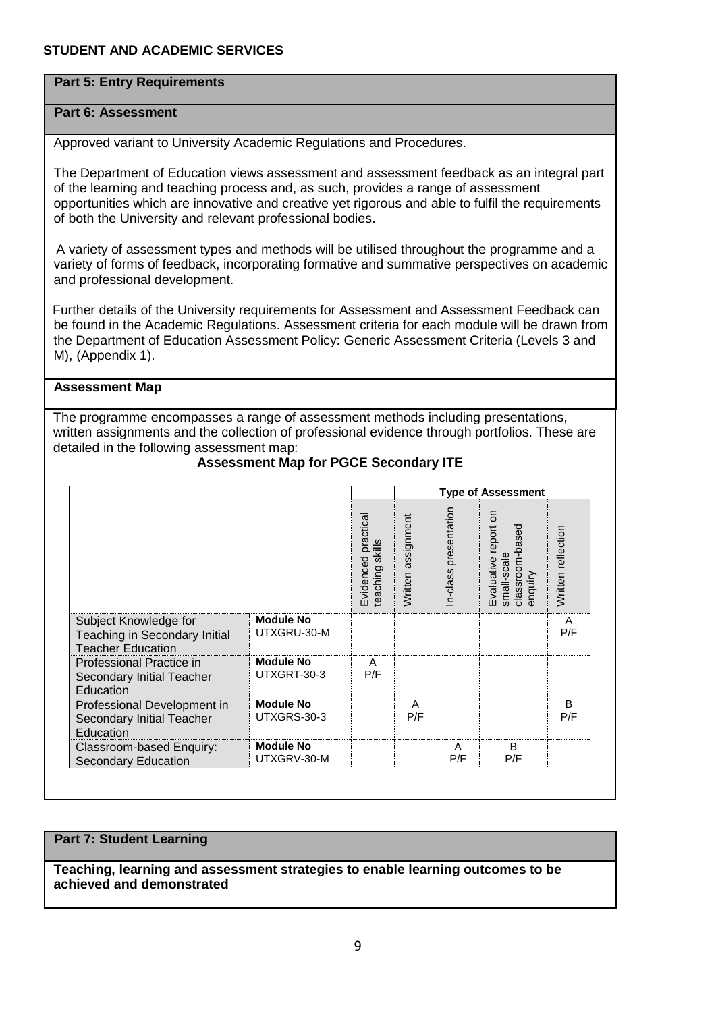## **Part 5: Entry Requirements**

## **Part 6: Assessment**

Approved variant to University Academic Regulations and Procedures.

The Department of Education views assessment and assessment feedback as an integral part of the learning and teaching process and, as such, provides a range of assessment opportunities which are innovative and creative yet rigorous and able to fulfil the requirements of both the University and relevant professional bodies.

 A variety of assessment types and methods will be utilised throughout the programme and a variety of forms of feedback, incorporating formative and summative perspectives on academic and professional development.

 Further details of the University requirements for Assessment and Assessment Feedback can be found in the Academic Regulations. Assessment criteria for each module will be drawn from the Department of Education Assessment Policy: Generic Assessment Criteria (Levels 3 and M), (Appendix 1).

### **Assessment Map**

The programme encompasses a range of assessment methods including presentations, written assignments and the collection of professional evidence through portfolios. These are detailed in the following assessment map:

|                                                                                    |                                 |                                        | <b>Type of Assessment</b> |                       |                                                                        |                    |
|------------------------------------------------------------------------------------|---------------------------------|----------------------------------------|---------------------------|-----------------------|------------------------------------------------------------------------|--------------------|
|                                                                                    |                                 | Evidenced practical<br>teaching skills | Written assignment        | In-class presentation | δ<br>report<br>classroom-based<br>enquiry<br>small-scale<br>Evaluative | Written reflection |
| Subject Knowledge for<br>Teaching in Secondary Initial<br><b>Teacher Education</b> | <b>Module No</b><br>UTXGRU-30-M |                                        |                           |                       |                                                                        | A<br>P/F           |
| Professional Practice in<br>Secondary Initial Teacher<br>Education                 | <b>Module No</b><br>UTXGRT-30-3 | A<br>P/F                               |                           |                       |                                                                        |                    |
| Professional Development in<br>Secondary Initial Teacher<br>Education              | <b>Module No</b><br>UTXGRS-30-3 |                                        | A<br>P/F                  |                       |                                                                        | B<br>P/F           |
| Classroom-based Enquiry:<br><b>Secondary Education</b>                             | <b>Module No</b><br>UTXGRV-30-M |                                        |                           | A<br>P/F              | B<br>P/F                                                               |                    |

## **Assessment Map for PGCE Secondary ITE**

## **Part 7: Student Learning**

**Teaching, learning and assessment strategies to enable learning outcomes to be achieved and demonstrated**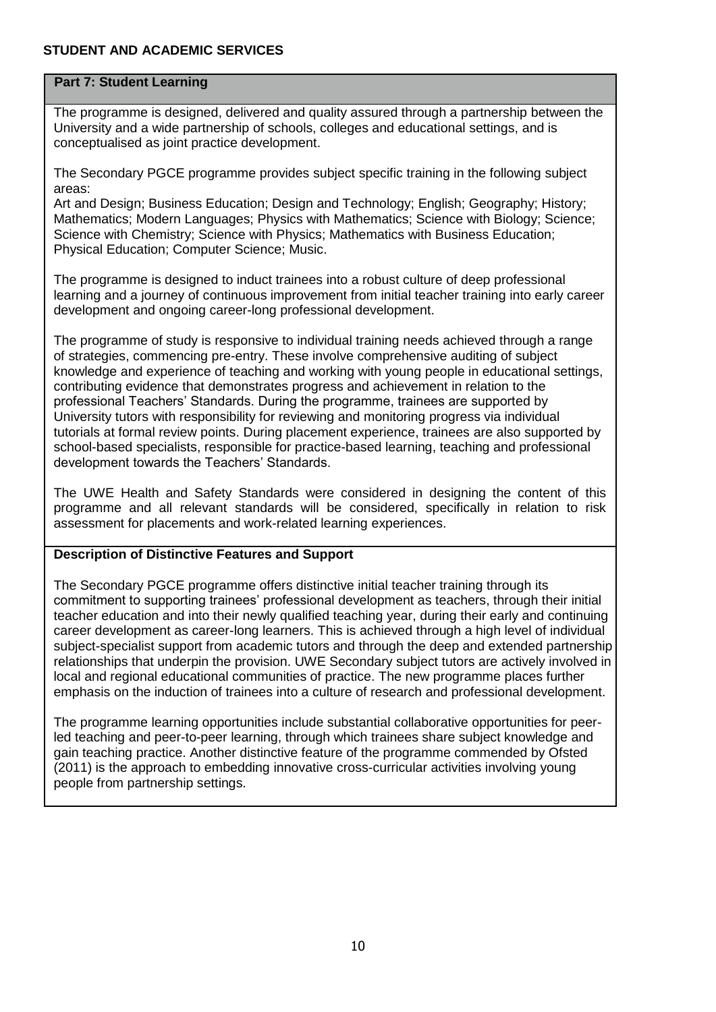## **Part 7: Student Learning**

The programme is designed, delivered and quality assured through a partnership between the University and a wide partnership of schools, colleges and educational settings, and is conceptualised as joint practice development.

The Secondary PGCE programme provides subject specific training in the following subject areas:

Art and Design; Business Education; Design and Technology; English; Geography; History; Mathematics; Modern Languages; Physics with Mathematics; Science with Biology; Science; Science with Chemistry; Science with Physics; Mathematics with Business Education; Physical Education; Computer Science; Music.

The programme is designed to induct trainees into a robust culture of deep professional learning and a journey of continuous improvement from initial teacher training into early career development and ongoing career-long professional development.

The programme of study is responsive to individual training needs achieved through a range of strategies, commencing pre-entry. These involve comprehensive auditing of subject knowledge and experience of teaching and working with young people in educational settings, contributing evidence that demonstrates progress and achievement in relation to the professional Teachers' Standards. During the programme, trainees are supported by University tutors with responsibility for reviewing and monitoring progress via individual tutorials at formal review points. During placement experience, trainees are also supported by school-based specialists, responsible for practice-based learning, teaching and professional development towards the Teachers' Standards.

The UWE Health and Safety Standards were considered in designing the content of this programme and all relevant standards will be considered, specifically in relation to risk assessment for placements and work-related learning experiences.

## **Description of Distinctive Features and Support**

The Secondary PGCE programme offers distinctive initial teacher training through its commitment to supporting trainees' professional development as teachers, through their initial teacher education and into their newly qualified teaching year, during their early and continuing career development as career-long learners. This is achieved through a high level of individual subject-specialist support from academic tutors and through the deep and extended partnership relationships that underpin the provision. UWE Secondary subject tutors are actively involved in local and regional educational communities of practice. The new programme places further emphasis on the induction of trainees into a culture of research and professional development.

The programme learning opportunities include substantial collaborative opportunities for peerled teaching and peer-to-peer learning, through which trainees share subject knowledge and gain teaching practice. Another distinctive feature of the programme commended by Ofsted (2011) is the approach to embedding innovative cross-curricular activities involving young people from partnership settings.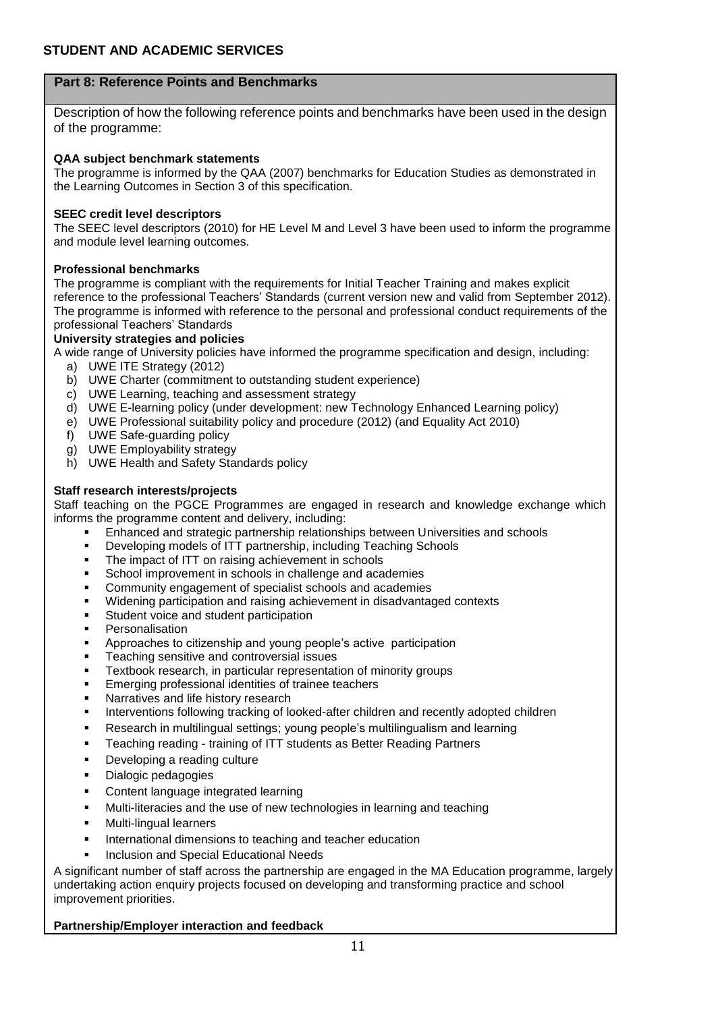## **Part 8: Reference Points and Benchmarks**

Description of how the following reference points and benchmarks have been used in the design of the programme:

#### **QAA subject benchmark statements**

The programme is informed by the QAA (2007) benchmarks for Education Studies as demonstrated in the Learning Outcomes in Section 3 of this specification.

#### **SEEC credit level descriptors**

The SEEC level descriptors (2010) for HE Level M and Level 3 have been used to inform the programme and module level learning outcomes.

#### **Professional benchmarks**

The programme is compliant with the requirements for Initial Teacher Training and makes explicit reference to the professional Teachers' Standards (current version new and valid from September 2012). The programme is informed with reference to the personal and professional conduct requirements of the professional Teachers' Standards

#### **University strategies and policies**

A wide range of University policies have informed the programme specification and design, including:

- a) UWE ITE Strategy (2012)
- b) UWE Charter (commitment to outstanding student experience)
- c) UWE Learning, teaching and assessment strategy
- d) UWE E-learning policy (under development: new Technology Enhanced Learning policy)
- e) UWE Professional suitability policy and procedure (2012) (and Equality Act 2010)
- f) UWE Safe-guarding policy
- g) UWE Employability strategy
- h) UWE Health and Safety Standards policy

#### **Staff research interests/projects**

Staff teaching on the PGCE Programmes are engaged in research and knowledge exchange which informs the programme content and delivery, including:

- Enhanced and strategic partnership relationships between Universities and schools
- Developing models of ITT partnership, including Teaching Schools
- The impact of ITT on raising achievement in schools
- School improvement in schools in challenge and academies
- Community engagement of specialist schools and academies
- Widening participation and raising achievement in disadvantaged contexts
- Student voice and student participation
- Personalisation
- Approaches to citizenship and young people's active participation
- Teaching sensitive and controversial issues
- Textbook research, in particular representation of minority groups
- Emerging professional identities of trainee teachers
- Narratives and life history research
- Interventions following tracking of looked-after children and recently adopted children
- Research in multilingual settings; young people's multilingualism and learning
- **EXEC** Teaching reading training of ITT students as Better Reading Partners
- Developing a reading culture
- **•** Dialogic pedagogies
- Content language integrated learning
- Multi-literacies and the use of new technologies in learning and teaching
- Multi-lingual learners
- **International dimensions to teaching and teacher education**
- Inclusion and Special Educational Needs

A significant number of staff across the partnership are engaged in the MA Education programme, largely undertaking action enquiry projects focused on developing and transforming practice and school improvement priorities.

#### **Partnership/Employer interaction and feedback**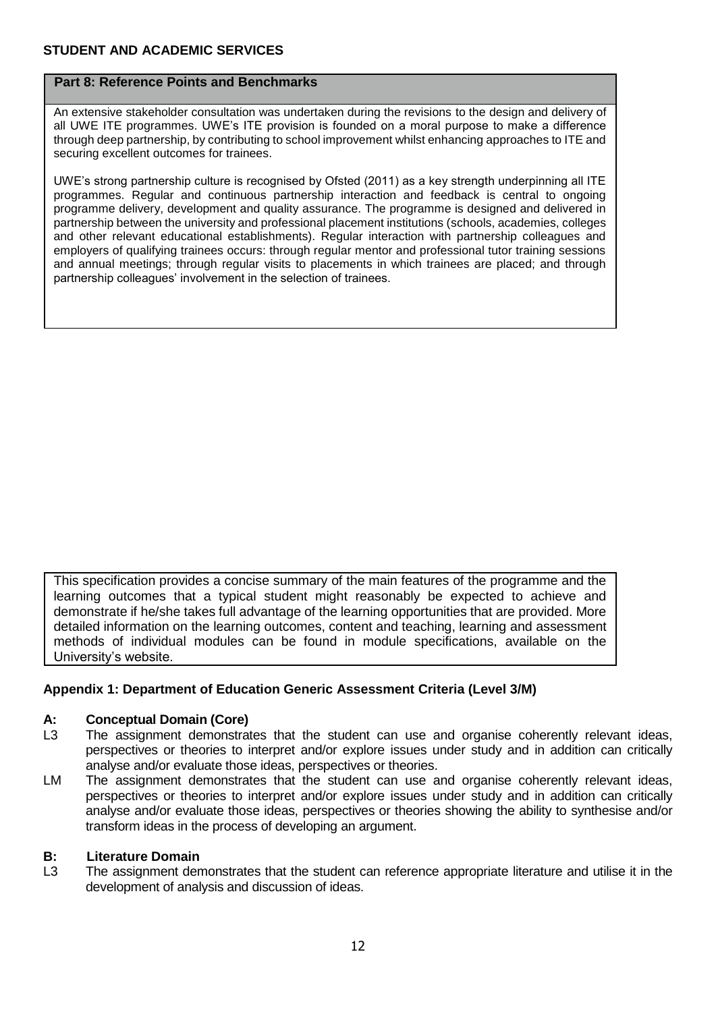## **Part 8: Reference Points and Benchmarks**

An extensive stakeholder consultation was undertaken during the revisions to the design and delivery of all UWE ITE programmes. UWE's ITE provision is founded on a moral purpose to make a difference through deep partnership, by contributing to school improvement whilst enhancing approaches to ITE and securing excellent outcomes for trainees.

UWE's strong partnership culture is recognised by Ofsted (2011) as a key strength underpinning all ITE programmes. Regular and continuous partnership interaction and feedback is central to ongoing programme delivery, development and quality assurance. The programme is designed and delivered in partnership between the university and professional placement institutions (schools, academies, colleges and other relevant educational establishments). Regular interaction with partnership colleagues and employers of qualifying trainees occurs: through regular mentor and professional tutor training sessions and annual meetings; through regular visits to placements in which trainees are placed; and through partnership colleagues' involvement in the selection of trainees.

This specification provides a concise summary of the main features of the programme and the learning outcomes that a typical student might reasonably be expected to achieve and demonstrate if he/she takes full advantage of the learning opportunities that are provided. More detailed information on the learning outcomes, content and teaching, learning and assessment methods of individual modules can be found in module specifications, available on the University's website.

## **Appendix 1: Department of Education Generic Assessment Criteria (Level 3/M)**

## **A: Conceptual Domain (Core)**

- L3 The assignment demonstrates that the student can use and organise coherently relevant ideas, perspectives or theories to interpret and/or explore issues under study and in addition can critically analyse and/or evaluate those ideas, perspectives or theories.
- LM The assignment demonstrates that the student can use and organise coherently relevant ideas, perspectives or theories to interpret and/or explore issues under study and in addition can critically analyse and/or evaluate those ideas, perspectives or theories showing the ability to synthesise and/or transform ideas in the process of developing an argument.

#### **B: Literature Domain**

L3 The assignment demonstrates that the student can reference appropriate literature and utilise it in the development of analysis and discussion of ideas.